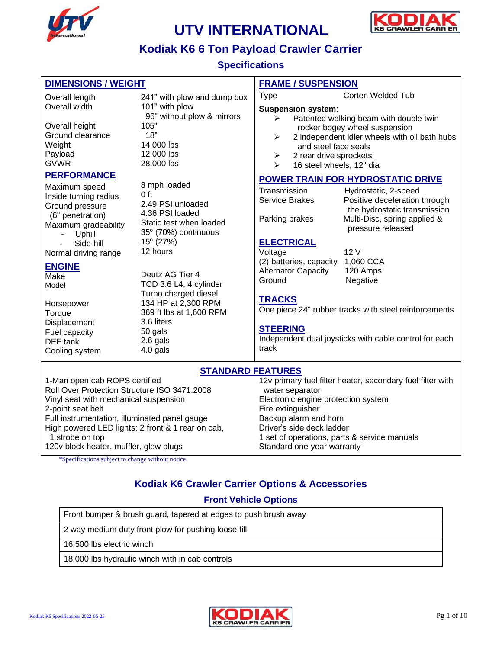



#### **Kodiak K6 6 Ton Payload Crawler Carrier**

**Specifications**

| <b>DIMENSIONS / WEIGHT</b>                                                                                      |                                                                                                                   | <b>FRAME / SUSPENSION</b>                        |                                                                            |                                                                                                                                            |  |
|-----------------------------------------------------------------------------------------------------------------|-------------------------------------------------------------------------------------------------------------------|--------------------------------------------------|----------------------------------------------------------------------------|--------------------------------------------------------------------------------------------------------------------------------------------|--|
| Overall length                                                                                                  | 241" with plow and dump box                                                                                       | <b>Type</b>                                      |                                                                            | <b>Corten Welded Tub</b>                                                                                                                   |  |
| Overall width                                                                                                   | 101" with plow<br>96" without plow & mirrors                                                                      | ⋗                                                | <b>Suspension system:</b>                                                  | Patented walking beam with double twin                                                                                                     |  |
| Overall height<br>Ground clearance<br>Weight<br>Payload<br><b>GVWR</b>                                          | 105"<br>18"<br>14,000 lbs<br>12,000 lbs<br>28,000 lbs                                                             | ➤<br>➤<br>↘                                      | and steel face seals<br>2 rear drive sprockets<br>16 steel wheels, 12" dia | rocker bogey wheel suspension<br>2 independent idler wheels with oil bath hubs                                                             |  |
| <b>PERFORMANCE</b>                                                                                              |                                                                                                                   |                                                  |                                                                            | <b>POWER TRAIN FOR HYDROSTATIC DRIVE</b>                                                                                                   |  |
| Maximum speed<br>Inside turning radius<br>Ground pressure<br>(6" penetration)<br>Maximum gradeability<br>Uphill | 8 mph loaded<br>$0$ ft<br>2.49 PSI unloaded<br>4.36 PSI loaded<br>Static test when loaded<br>35° (70%) continuous | Transmission<br>Service Brakes<br>Parking brakes |                                                                            | Hydrostatic, 2-speed<br>Positive deceleration through<br>the hydrostatic transmission<br>Multi-Disc, spring applied &<br>pressure released |  |
| Side-hill<br>Normal driving range                                                                               | $15^{\circ}$ (27%)<br>12 hours                                                                                    | <b>ELECTRICAL</b><br>Voltage                     |                                                                            | 12V                                                                                                                                        |  |
| <b>ENGINE</b><br>Make<br>Model                                                                                  | Deutz AG Tier 4<br>TCD 3.6 L4, 4 cylinder<br>Turbo charged diesel                                                 | Ground                                           | (2) batteries, capacity<br><b>Alternator Capacity</b>                      | 1,060 CCA<br>120 Amps<br>Negative                                                                                                          |  |
| Horsepower<br>Torque                                                                                            | 134 HP at 2,300 RPM<br>369 ft lbs at 1,600 RPM                                                                    | <b>TRACKS</b>                                    |                                                                            | One piece 24" rubber tracks with steel reinforcements                                                                                      |  |
| Displacement<br>Fuel capacity<br>DEF tank<br>Cooling system                                                     | 3.6 liters<br>50 gals<br>2.6 gals<br>4.0 gals                                                                     | <b>STEERING</b><br>track                         |                                                                            | Independent dual joysticks with cable control for each                                                                                     |  |
| <b>STANDARD FEATURES</b>                                                                                        |                                                                                                                   |                                                  |                                                                            |                                                                                                                                            |  |
| 1-Man onen cab ROPS certified<br>12y primary fuel filter heater secondary fuel filter with                      |                                                                                                                   |                                                  |                                                                            |                                                                                                                                            |  |

1-Man open cab ROPS certified Roll Over Protection Structure ISO 3471:2008 Vinyl seat with mechanical suspension 2-point seat belt Full instrumentation, illuminated panel gauge High powered LED lights: 2 front & 1 rear on cab, 1 strobe on top 120v block heater, muffler, glow plugs

12v primary fuel filter heater, secondary fuel filter with water separator Electronic engine protection system Fire extinguisher Backup alarm and horn Driver's side deck ladder 1 set of operations, parts & service manuals Standard one-year warranty

\*Specifications subject to change without notice.

#### **Kodiak K6 Crawler Carrier Options & Accessories**

#### **Front Vehicle Options**

Front bumper & brush guard, tapered at edges to push brush away

2 way medium duty front plow for pushing loose fill

16,500 lbs electric winch

18,000 lbs hydraulic winch with in cab controls

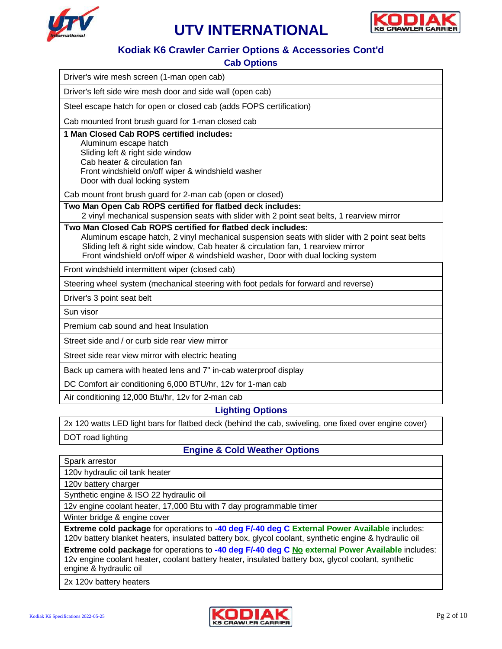



#### **Kodiak K6 Crawler Carrier Options & Accessories Cont'd**

#### **Cab Options**

| Driver's wire mesh screen (1-man open cab)                                                                                                                                                                                                                                                                                              |  |  |  |  |
|-----------------------------------------------------------------------------------------------------------------------------------------------------------------------------------------------------------------------------------------------------------------------------------------------------------------------------------------|--|--|--|--|
| Driver's left side wire mesh door and side wall (open cab)                                                                                                                                                                                                                                                                              |  |  |  |  |
| Steel escape hatch for open or closed cab (adds FOPS certification)                                                                                                                                                                                                                                                                     |  |  |  |  |
| Cab mounted front brush guard for 1-man closed cab                                                                                                                                                                                                                                                                                      |  |  |  |  |
| 1 Man Closed Cab ROPS certified includes:<br>Aluminum escape hatch<br>Sliding left & right side window<br>Cab heater & circulation fan<br>Front windshield on/off wiper & windshield washer<br>Door with dual locking system                                                                                                            |  |  |  |  |
| Cab mount front brush guard for 2-man cab (open or closed)                                                                                                                                                                                                                                                                              |  |  |  |  |
| Two Man Open Cab ROPS certified for flatbed deck includes:<br>2 vinyl mechanical suspension seats with slider with 2 point seat belts, 1 rearview mirror                                                                                                                                                                                |  |  |  |  |
| Two Man Closed Cab ROPS certified for flatbed deck includes:<br>Aluminum escape hatch, 2 vinyl mechanical suspension seats with slider with 2 point seat belts<br>Sliding left & right side window, Cab heater & circulation fan, 1 rearview mirror<br>Front windshield on/off wiper & windshield washer, Door with dual locking system |  |  |  |  |
| Front windshield intermittent wiper (closed cab)                                                                                                                                                                                                                                                                                        |  |  |  |  |
| Steering wheel system (mechanical steering with foot pedals for forward and reverse)                                                                                                                                                                                                                                                    |  |  |  |  |
| Driver's 3 point seat belt                                                                                                                                                                                                                                                                                                              |  |  |  |  |
| Sun visor                                                                                                                                                                                                                                                                                                                               |  |  |  |  |
| Premium cab sound and heat Insulation                                                                                                                                                                                                                                                                                                   |  |  |  |  |
| Street side and / or curb side rear view mirror                                                                                                                                                                                                                                                                                         |  |  |  |  |
| Street side rear view mirror with electric heating                                                                                                                                                                                                                                                                                      |  |  |  |  |
| Back up camera with heated lens and 7" in-cab waterproof display                                                                                                                                                                                                                                                                        |  |  |  |  |
| DC Comfort air conditioning 6,000 BTU/hr, 12v for 1-man cab                                                                                                                                                                                                                                                                             |  |  |  |  |
| Air conditioning 12,000 Btu/hr, 12v for 2-man cab                                                                                                                                                                                                                                                                                       |  |  |  |  |
| <b>Lighting Options</b>                                                                                                                                                                                                                                                                                                                 |  |  |  |  |

2x 120 watts LED light bars for flatbed deck (behind the cab, swiveling, one fixed over engine cover)

DOT road lighting

#### **Engine & Cold Weather Options**

|  | Spark arrestor |
|--|----------------|
|--|----------------|

120v hydraulic oil tank heater

120v battery charger

Synthetic engine & ISO 22 hydraulic oil

12v engine coolant heater, 17,000 Btu with 7 day programmable timer

Winter bridge & engine cover

**Extreme cold package** for operations to **-40 deg F/-40 deg C External Power Available** includes: 120v battery blanket heaters, insulated battery box, glycol coolant, synthetic engine & hydraulic oil

**Extreme cold package** for operations to **-40 deg F/-40 deg C No external Power Available** includes: 12v engine coolant heater, coolant battery heater, insulated battery box, glycol coolant, synthetic engine & hydraulic oil

2x 120v battery heaters

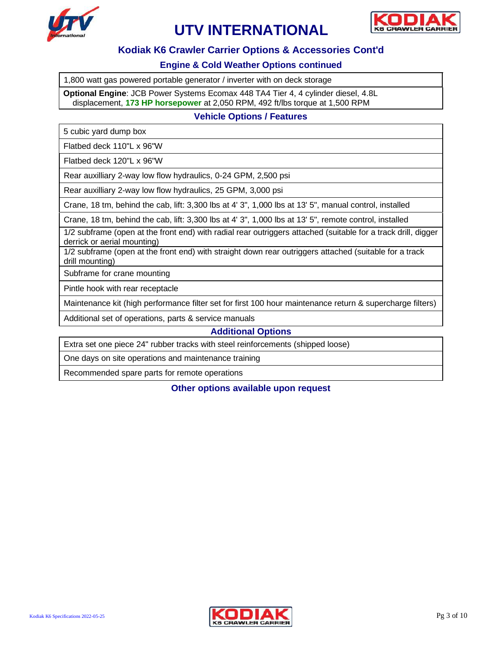



#### **Kodiak K6 Crawler Carrier Options & Accessories Cont'd**

#### **Engine & Cold Weather Options continued**

1,800 watt gas powered portable generator / inverter with on deck storage

**Optional Engine**: JCB Power Systems Ecomax 448 TA4 Tier 4, 4 cylinder diesel, 4.8L displacement, **173 HP horsepower** at 2,050 RPM, 492 ft/lbs torque at 1,500 RPM

#### **Vehicle Options / Features**

5 cubic yard dump box

Flatbed deck 110"L x 96"W

Flatbed deck 120"L x 96"W

Rear auxilliary 2-way low flow hydraulics, 0-24 GPM, 2,500 psi

Rear auxilliary 2-way low flow hydraulics, 25 GPM, 3,000 psi

Crane, 18 tm, behind the cab, lift: 3,300 lbs at 4' 3", 1,000 lbs at 13' 5", manual control, installed

Crane, 18 tm, behind the cab, lift: 3,300 lbs at 4' 3", 1,000 lbs at 13' 5", remote control, installed

1/2 subframe (open at the front end) with radial rear outriggers attached (suitable for a track drill, digger derrick or aerial mounting)

1/2 subframe (open at the front end) with straight down rear outriggers attached (suitable for a track drill mounting)

Subframe for crane mounting

Pintle hook with rear receptacle

Maintenance kit (high performance filter set for first 100 hour maintenance return & supercharge filters)

Additional set of operations, parts & service manuals

**Additional Options**

Extra set one piece 24" rubber tracks with steel reinforcements (shipped loose)

One days on site operations and maintenance training

Recommended spare parts for remote operations

**Other options available upon request**

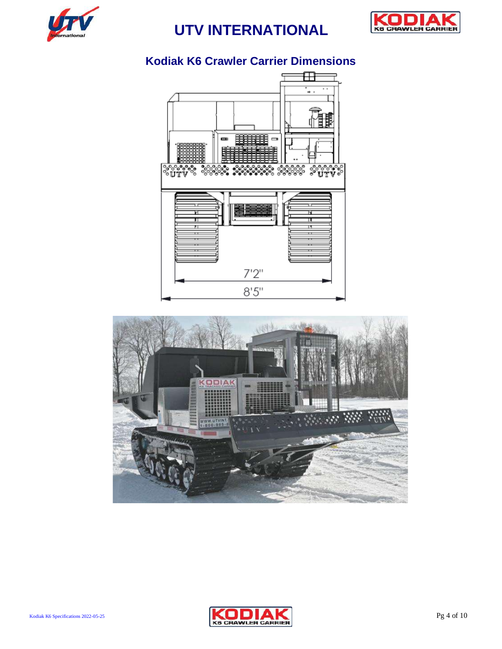



## **Kodiak K6 Crawler Carrier Dimensions**





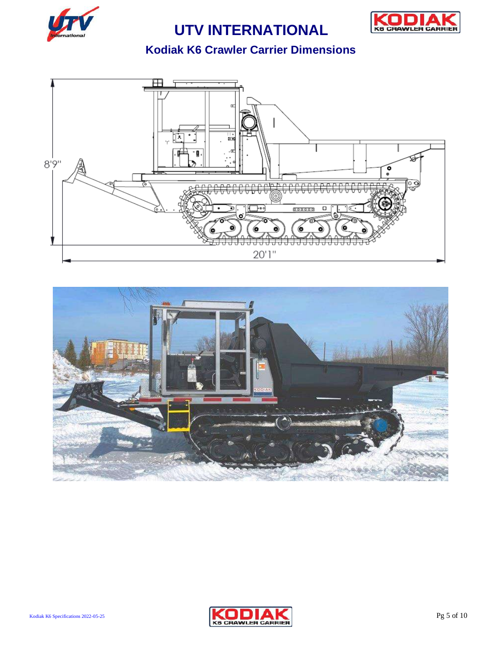



## **Kodiak K6 Crawler Carrier Dimensions**





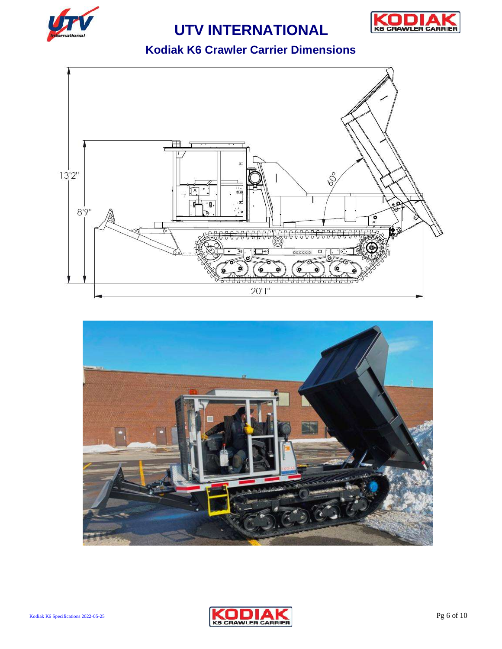



### **Kodiak K6 Crawler Carrier Dimensions**





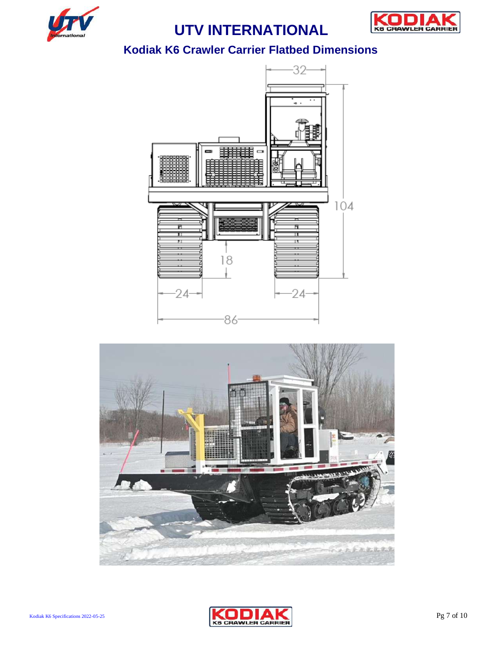



#### **Kodiak K6 Crawler Carrier Flatbed Dimensions**





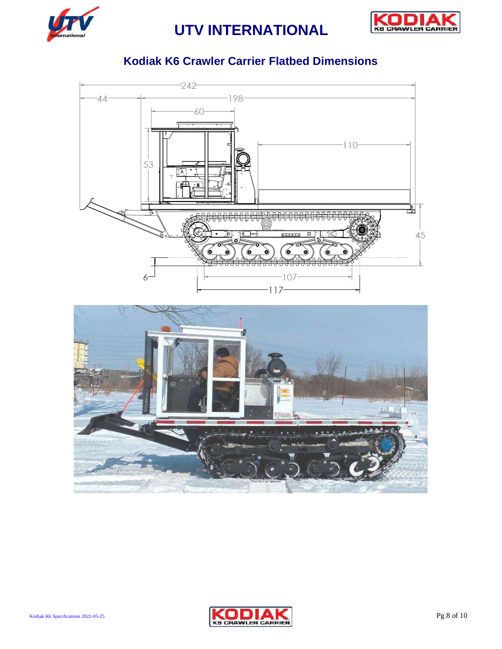



### **Kodiak K6 Crawler Carrier Flatbed Dimensions**





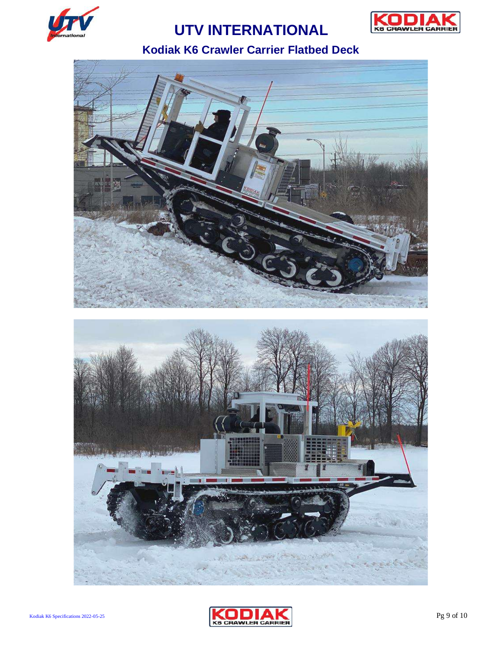



## **Kodiak K6 Crawler Carrier Flatbed Deck**